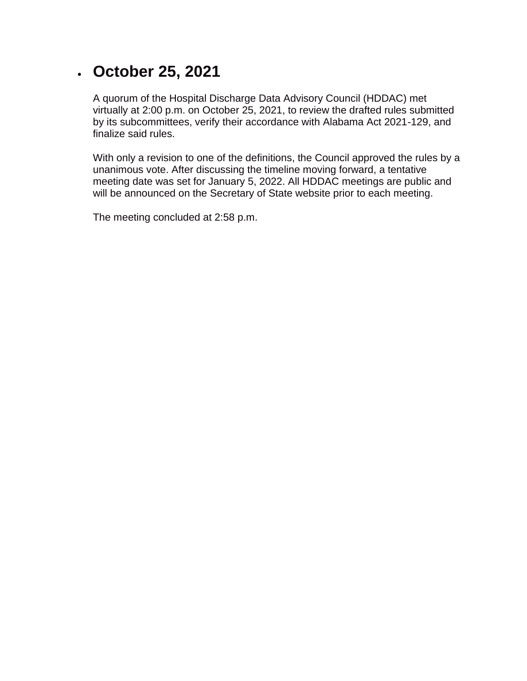#### • **October 25, 2021**

A quorum of the Hospital Discharge Data Advisory Council (HDDAC) met virtually at 2:00 p.m. on October 25, 2021, to review the drafted rules submitted by its subcommittees, verify their accordance with Alabama Act 2021-129, and finalize said rules.

With only a revision to one of the definitions, the Council approved the rules by a unanimous vote. After discussing the timeline moving forward, a tentative meeting date was set for January 5, 2022. All HDDAC meetings are public and will be announced on the Secretary of State website prior to each meeting.

The meeting concluded at 2:58 p.m.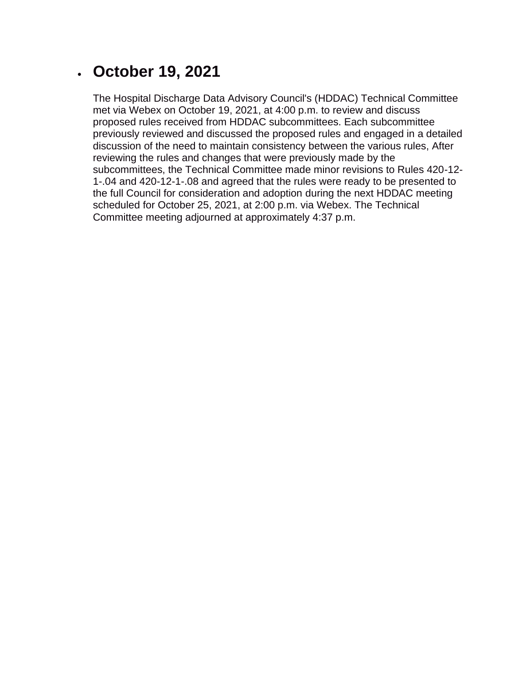### • **October 19, 2021**

The Hospital Discharge Data Advisory Council's (HDDAC) Technical Committee met via Webex on October 19, 2021, at 4:00 p.m. to review and discuss proposed rules received from HDDAC subcommittees. Each subcommittee previously reviewed and discussed the proposed rules and engaged in a detailed discussion of the need to maintain consistency between the various rules, After reviewing the rules and changes that were previously made by the subcommittees, the Technical Committee made minor revisions to Rules 420-12- 1-.04 and 420-12-1-.08 and agreed that the rules were ready to be presented to the full Council for consideration and adoption during the next HDDAC meeting scheduled for October 25, 2021, at 2:00 p.m. via Webex. The Technical Committee meeting adjourned at approximately 4:37 p.m.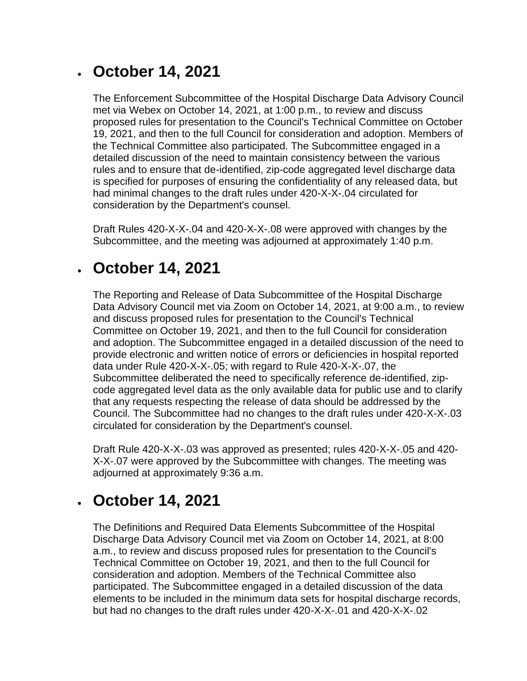### • **October 14, 2021**

The Enforcement Subcommittee of the Hospital Discharge Data Advisory Council met via Webex on October 14, 2021, at 1:00 p.m., to review and discuss proposed rules for presentation to the Council's Technical Committee on October 19, 2021, and then to the full Council for consideration and adoption. Members of the Technical Committee also participated. The Subcommittee engaged in a detailed discussion of the need to maintain consistency between the various rules and to ensure that de-identified, zip-code aggregated level discharge data is specified for purposes of ensuring the confidentiality of any released data, but had minimal changes to the draft rules under 420-X-X-.04 circulated for consideration by the Department's counsel.

Draft Rules 420-X-X-.04 and 420-X-X-.08 were approved with changes by the Subcommittee, and the meeting was adjourned at approximately 1:40 p.m.

# • **October 14, 2021**

The Reporting and Release of Data Subcommittee of the Hospital Discharge Data Advisory Council met via Zoom on October 14, 2021, at 9:00 a.m., to review and discuss proposed rules for presentation to the Council's Technical Committee on October 19, 2021, and then to the full Council for consideration and adoption. The Subcommittee engaged in a detailed discussion of the need to provide electronic and written notice of errors or deficiencies in hospital reported data under Rule 420-X-X-.05; with regard to Rule 420-X-X-.07, the Subcommittee deliberated the need to specifically reference de-identified, zipcode aggregated level data as the only available data for public use and to clarify that any requests respecting the release of data should be addressed by the Council. The Subcommittee had no changes to the draft rules under 420-X-X-.03 circulated for consideration by the Department's counsel.

Draft Rule 420-X-X-.03 was approved as presented; rules 420-X-X-.05 and 420- X-X-.07 were approved by the Subcommittee with changes. The meeting was adjourned at approximately 9:36 a.m.

# • **October 14, 2021**

The Definitions and Required Data Elements Subcommittee of the Hospital Discharge Data Advisory Council met via Zoom on October 14, 2021, at 8:00 a.m., to review and discuss proposed rules for presentation to the Council's Technical Committee on October 19, 2021, and then to the full Council for consideration and adoption. Members of the Technical Committee also participated. The Subcommittee engaged in a detailed discussion of the data elements to be included in the minimum data sets for hospital discharge records, but had no changes to the draft rules under 420-X-X-.01 and 420-X-X-.02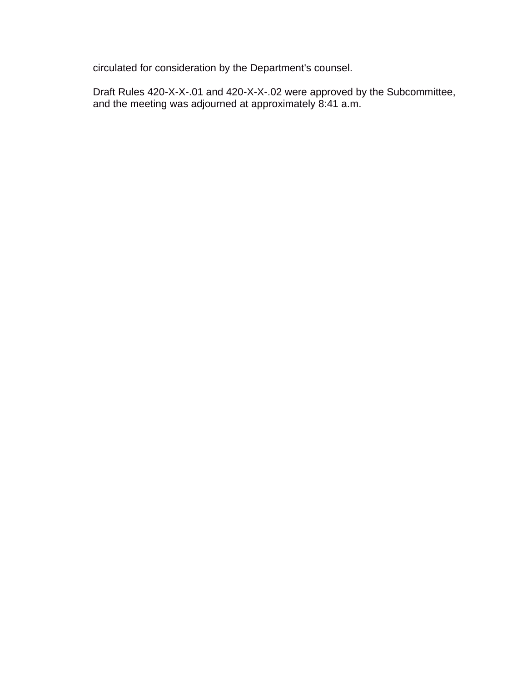circulated for consideration by the Department's counsel.

Draft Rules 420-X-X-.01 and 420-X-X-.02 were approved by the Subcommittee, and the meeting was adjourned at approximately 8:41 a.m.